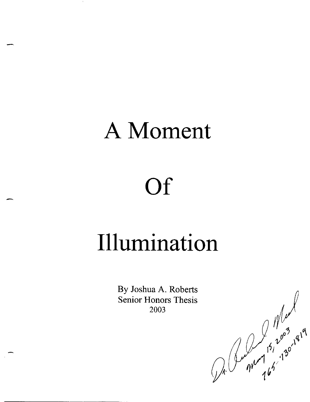## A Moment

# **Of**

-

## **Illumination**

By Joshua A. Roberts Senior Honors Thesis 2003

De Proches 15, 2003, 1919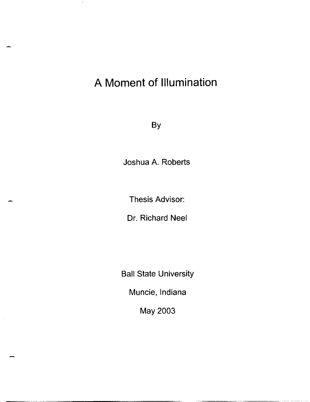### **A Moment of Illumination**

 $\perp$ 

By

Joshua A. Roberts

Thesis Advisor:

Dr. Richard Neel

Ball State University

Muncie, Indiana

May 2003

--- ~ ~~~- ----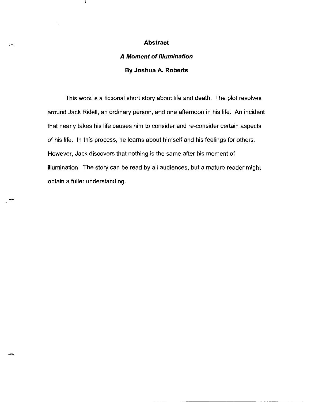#### **Abstract**

### **A Moment of Illumination By Joshua A. Roberts**

This work is a fictional short story about life and death. The plot revolves around Jack Ridell, an ordinary person, and one afternoon in his life. An incident that nearly takes his life causes him to consider and re-consider certain aspects of his life. In this process, he learns about himself and his feelings for others. However, Jack discovers that nothing is the same after his moment of illumination. The story can be read by all audiences, but a mature reader might obtain a fuller understanding.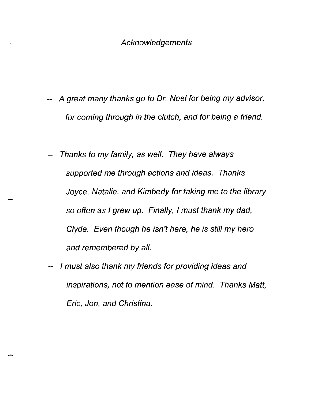- A great many thanks go to Dr. Neel for being my advisor, for coming through in the clutch, and for being a friend.
- Thanks to my family, as well. They have always supported me through actions and ideas. Thanks Joyce, Natalie, and Kimberly for taking me to the library so often as I grew up. Finally, I must thank my dad, Clyde. Even though he isn't here, he is still my hero and remembered by all.
- I must also thank my friends for providing ideas and inspirations, not to mention ease of mind. Thanks Matt, Eric, Jon, and Christina.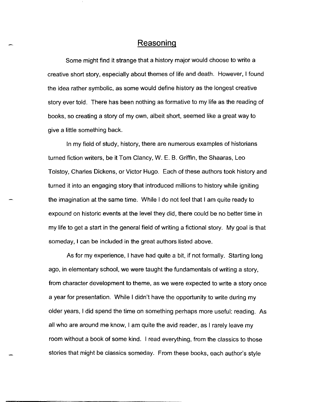### **Reasoning**

Some might find it strange that a history major would choose to write a creative short story, especially about themes of life and death. However, I found the idea rather symbolic, as some would define history as the longest creative story ever told. There has been nothing as formative to my life as the reading of books, so creating a story of my own, albeit short, seemed like a great way to give a little something back.

In my field of study, history, there are numerous examples of historians turned fiction writers, be it Tom Clancy, W. E. B. Griffin, the Shaaras, Leo Tolstoy, Charles Dickens, or Victor Hugo. Each of these authors took history and turned it into an engaging story that introduced millions to history while igniting the imagination at the same time. While I do not feel that I am quite ready to expound on historic events at the level they did, there could be no better time in my life to get a start in the general field of writing a fictional story. My goal is that someday, I can be included in the great authors listed above.

As for my experience, I have had quite a bit, if not formally. Starting long ago, in elementary school, we were taught the fundamentals of writing a story, from character development to theme, as we were expected to write a story once a year for presentation. While I didn't have the opportunity to write during my older years, I did spend the time on something perhaps more useful: reading. As all who are around me know, I am quite the avid reader, as I rarely leave my room without a book of some kind. I read everything, from the classics to those stories that might be classics someday. From these books, each author's style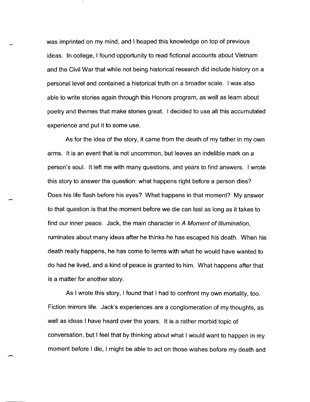was imprinted on my mind, and I heaped this knowledge on top of previous ideas. In college, I found opportunity to read fictional accounts about Vietnam and the Civil War that while not being historical research did include history on a personal level and contained a historical truth on a broader scale. I was also able to write stories again through this Honors program, as well as learn about poetry and themes that make stories great. I decided to use all this accumulated experience and put it to some use.

As for the idea of the story, it came from the death of my father in my own arms. It is an event that is not uncommon, but leaves an indelible mark on a person's soul. It left me with many questions, and years to find answers. I wrote this story to answer the question: what happens right before a person dies? Does his life flash before his eyes? What happens in that moment? My answer to that question is that the moment before we die can last as long as it takes to find our inner peace. Jack, the main character in A Moment of Illumination, ruminates about many ideas after he thinks he has escaped his death. When his death really happens, he has come to terms with what he would have wanted to do had he lived, and a kind of peace is granted to him. What happens after that is a matter for another story.

As I wrote this story, I found that I had to confront my own mortality, too. Fiction mirrors life. Jack's experiences are a conglomeration of my thoughts, as well as ideas I have heard over the years. It is a rather morbid topic of conversation, but I feel that by thinking about what I would want to happen in my moment before I die, I might be able to act on those wishes before my death and

-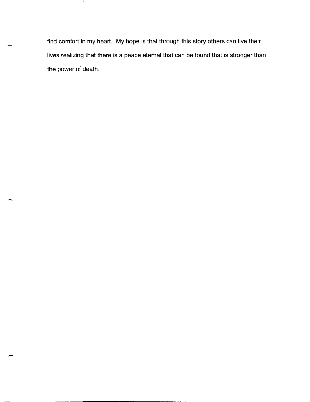find comfort in my heart. My hope is that through this story others can live their lives realizing that there is a peace eternal that can be found that is stronger than the power of death.

- i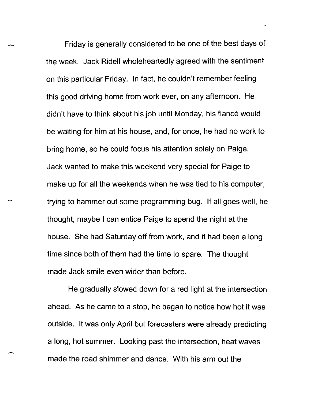Friday is generally considered to be one of the best days of the week. Jack Ridell wholeheartedly agreed with the sentiment on this particular Friday. In fact, he couldn't remember feeling this good driving home from work ever, on any afternoon. He didn't have to think about his job until Monday, his fiancé would be waiting for him at his house, and, for once, he had no work to bring home, so he could focus his attention solely on Paige. Jack wanted to make this weekend very special for Paige to make up for all the weekends when he was tied to his computer, trying to hammer out some programming bug. If all goes well, he thought, maybe I can entice Paige to spend the night at the house. She had Saturday off from work, and it had been a long time since both of them had the time to spare. The thought made Jack smile even wider than before.

He gradually slowed down for a red light at the intersection ahead. As he came to a stop, he began to notice how hot it was outside. It was only April but forecasters were already predicting a long, hot summer. Looking past the intersection, heat waves made the road shimmer and dance. With his arm out the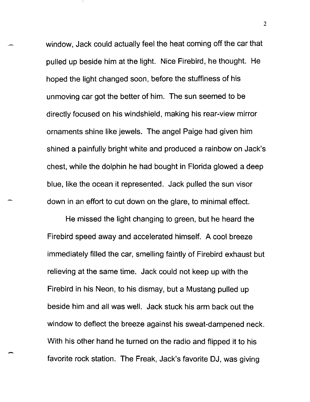window, Jack could actually feel the heat coming off the car that pulled up beside him at the light. Nice Firebird, he thought. He hoped the light changed soon, before the stuffiness of his unmoving car got the better of him. The sun seemed to be directly focused on his windshield, making his rear-view mirror ornaments shine like jewels. The angel Paige had given him shined a painfully bright white and produced a rainbow on Jack's chest, while the dolphin he had bought in Florida glowed a deep blue, like the ocean it represented. Jack pulled the sun visor down in an effort to cut down on the glare, to minimal effect.

He missed the light changing to green, but he heard the Firebird speed away and accelerated himself. A cool breeze immediately filled the car, smelling faintly of Firebird exhaust but relieving at the same time. Jack could not keep up with the Firebird in his Neon, to his dismay, but a Mustang pulled up beside him and all was well. Jack stuck his arm back out the window to deflect the breeze against his sweat-dampened neck. With his other hand he turned on the radio and flipped it to his favorite rock station. The Freak, Jack's favorite OJ, was giving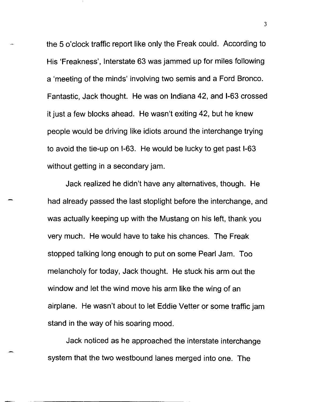the 5 o'clock traffic report like only the Freak could. According to His 'Freakness', Interstate 63 was jammed up for miles following a 'meeting of the minds' involving two semis and a Ford Bronco. Fantastic, Jack thought. He was on Indiana 42, and 1-63 crossed it just a few blocks ahead. He wasn't exiting 42, but he knew people would be driving like idiots around the interchange trying to avoid the tie-up on 1-63. He would be lucky to get past 1-63 without getting in a secondary jam.

Jack realized he didn't have any alternatives, though. He had already passed the last stoplight before the interchange, and was actually keeping up with the Mustang on his left, thank you very much. He would have to take his chances. The Freak stopped talking long enough to put on some Pearl Jam. Too melancholy for today, Jack thought. He stuck his arm out the window and let the wind move his arm like the wing of an airplane. He wasn't about to let Eddie Vetter or some traffic jam stand in the way of his soaring mood.

Jack noticed as he approached the interstate interchange system that the two westbound lanes merged into one. The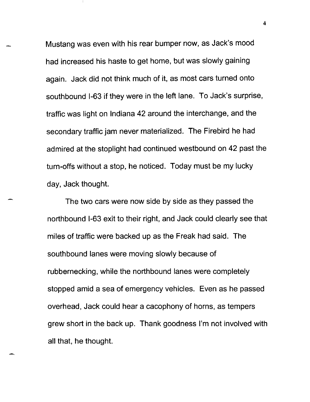Mustang was even with his rear bumper now, as Jack's mood had increased his haste to get home, but was slowly gaining again. Jack did not think much of it, as most cars turned onto southbound 1-63 if they were in the left lane. To Jack's surprise, traffic was light on Indiana 42 around the interchange, and the secondary traffic jam never materialized. The Firebird he had admired at the stoplight had continued westbound on 42 past the turn-offs without a stop, he noticed. Today must be my lucky day, Jack thought.

The two cars were now side by side as they passed the northbound 1-63 exit to their right, and Jack could clearly see that miles of traffic were backed up as the Freak had said. The southbound lanes were moving slowly because of rubbernecking, while the northbound lanes were completely stopped amid a sea of emergency vehicles. Even as he passed overhead, Jack could hear a cacophony of horns, as tempers grew short in the back up. Thank goodness I'm not involved with all that, he thought.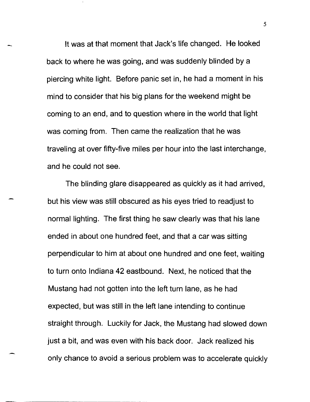It was at that moment that Jack's life changed. He looked back to where he was going, and was suddenly blinded by a piercing white light. Before panic set in, he had a moment in his mind to consider that his big plans for the weekend might be coming to an end, and to question where in the world that light was coming from. Then came the realization that he was traveling at over fifty-five miles per hour into the last interchange, and he could not see.

The blinding glare disappeared as quickly as it had arrived, but his view was still obscured as his eyes tried to readjust to normal lighting. The first thing he saw clearly was that his lane ended in about one hundred feet, and that a car was sitting perpendicular to him at about one hundred and one feet, waiting to turn onto Indiana 42 eastbound. Next, he noticed that the Mustang had not gotten into the left turn lane, as he had expected, but was still in the left lane intending to continue straight through. Luckily for Jack, the Mustang had slowed down just a bit, and was even with his back door. Jack realized his only chance to avoid a serious problem was to accelerate quickly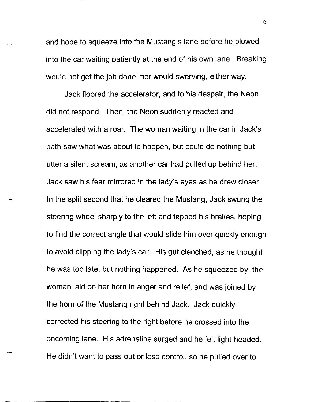and hope to squeeze into the Mustang's lane before he plowed into the car waiting patiently at the end of his own lane. Breaking would not get the job done, nor would swerving, either way.

Jack floored the accelerator, and to his despair, the Neon did not respond. Then, the Neon suddenly reacted and accelerated with a roar. The woman waiting in the car in Jack's path saw what was about to happen, but could do nothing but utter a silent scream, as another car had pulled up behind her. Jack saw his fear mirrored in the lady's eyes as he drew closer. In the split second that he cleared the Mustang, Jack swung the steering wheel sharply to the left and tapped his brakes, hoping to find the correct angle that would slide him over quickly enough to avoid clipping the lady's car. His gut clenched, as he thought he was too late, but nothing happened. As he squeezed by, the woman laid on her horn in anger and relief, and was joined by the horn of the Mustang right behind Jack. Jack quickly corrected his steering to the right before he crossed into the oncoming lane. His adrenaline surged and he felt light-headed. He didn't want to pass out or lose control, so he pulled over to

-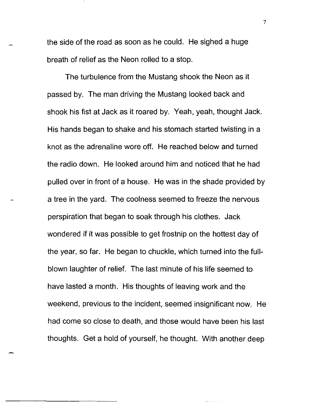the side of the road as soon as he could. He sighed a huge breath of relief as the Neon rolled to a stop.

The turbulence from the Mustang shook the Neon as it passed by. The man driving the Mustang looked back and shook his fist at Jack as it roared by. Yeah, yeah, thought Jack. His hands began to shake and his stomach started twisting in a knot as the adrenaline wore off. He reached below and turned the radio down. He looked around him and noticed that he had pulled over in front of a house. He was in the shade provided by a tree in the yard. The coolness seemed to freeze the nervous perspiration that began to soak through his clothes. Jack wondered if it was possible to get frostnip on the hottest day of the year, so far. He began to chuckle, which turned into the fullblown laughter of relief. The last minute of his life seemed to have lasted a month. His thoughts of leaving work and the weekend, previous to the incident, seemed insignificant now. He had come so close to death, and those would have been his last thoughts. Get a hold of yourself, he thought. With another deep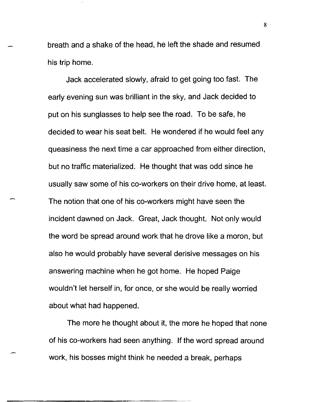breath and a shake of the head, he left the shade and resumed his trip home.

Jack accelerated slowly, afraid to get going too fast. The early evening sun was brilliant in the sky, and Jack decided to put on his sunglasses to help see the road. To be safe, he decided to wear his seat belt. He wondered if he would feel any queasiness the next time a car approached from either direction, but no traffic materialized. He thought that was odd since he usually saw some of his co-workers on their drive home, at least. The notion that one of his co-workers might have seen the incident dawned on Jack. Great, Jack thought. Not only would the word be spread around work that he drove like a moron, but also he would probably have several derisive messages on his answering machine when he got home. He hoped Paige wouldn't let herself in, for once, or she would be really worried about what had happened.

The more he thought about it, the more he hoped that none of his co-workers had seen anything. If the word spread around work, his bosses might think he needed a break, perhaps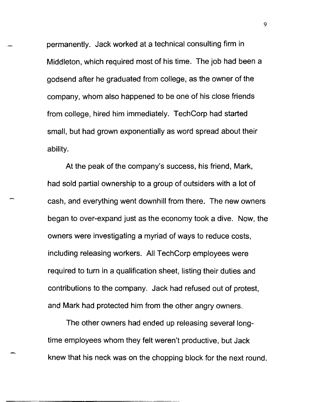permanently. Jack worked at a technical consulting firm in Middleton, which required most of his time. The job had been a godsend after he graduated from college, as the owner of the company, whom also happened to be one of his close friends from college, hired him immediately. TechCorp had started small, but had grown exponentially as word spread about their ability.

At the peak of the company's success, his friend, Mark, had sold partial ownership to a group of outsiders with a lot of cash, and everything went downhill from there. The new owners began to over-expand just as the economy took a dive. Now, the owners were investigating a myriad of ways to reduce costs, including releasing workers. All TechCorp employees were required to turn in a qualification sheet, listing their duties and contributions to the company. Jack had refused out of protest, and Mark had protected him from the other angry owners.

The other owners had ended up releasing several longtime employees whom they felt weren't productive, but Jack knew that his neck was on the chopping block for the next round.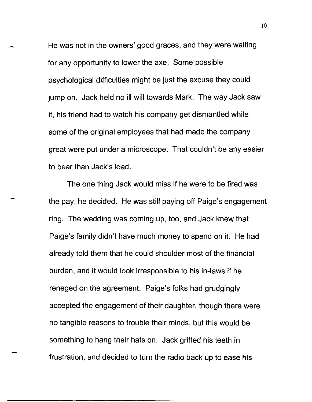He was not in the owners' good graces, and they were waiting for any opportunity to lower the axe. Some possible psychological difficulties might be just the excuse they could jump on. Jack held no ill will towards Mark. The way Jack saw it, his friend had to watch his company get dismantled while some of the original employees that had made the company great were put under a microscope. That couldn't be any easier to bear than Jack's load.

The one thing Jack would miss if he were to be fired was the pay, he decided. He was still paying off Paige's engagement ring. The wedding was coming up, too, and Jack knew that Paige's family didn't have much money to spend on it. He had already told them that he could shoulder most of the financial burden, and it would look irresponsible to his in-laws if he reneged on the agreement. Paige's folks had grudgingly accepted the engagement of their daughter, though there were no tangible reasons to trouble their minds, but this would be something to hang their hats on. Jack gritted his teeth in frustration, and decided to turn the radio back up to ease his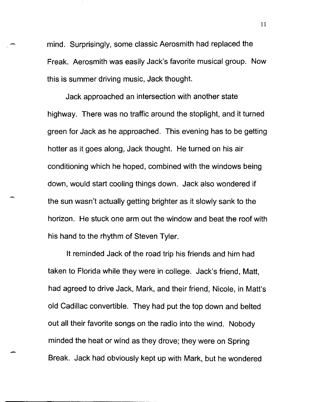mind. Surprisingly, some classic Aerosmith had replaced the Freak. Aerosmith was easily Jack's favorite musical group. Now this is summer driving music, Jack thought.

Jack approached an intersection with another state highway. There was no traffic around the stoplight, and it turned green for Jack as he approached. This evening has to be getting hotter as it goes along, Jack thought. He turned on his air conditioning which he hoped, combined with the windows being down, would start cooling things down. Jack also wondered if the sun wasn't actually getting brighter as it slowly sank to the horizon. He stuck one arm out the window and beat the roof with his hand to the rhythm of Steven Tyler.

It reminded Jack of the road trip his friends and him had taken to Florida while they were in college. Jack's friend, Matt, had agreed to drive Jack, Mark, and their friend, Nicole, in Matt's old Cadillac convertible. They had put the top down and belted out all their favorite songs on the radio into the wind. Nobody minded the heat or wind as they drove; they were on Spring Break. Jack had obviously kept up with Mark, but he wondered

-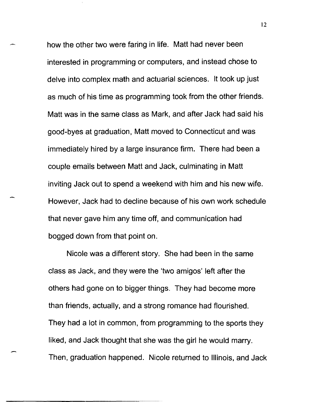how the other two were faring in life. Matt had never been interested in programming or computers, and instead chose to delve into complex math and actuarial sciences. It took up just as much of his time as programming took from the other friends. Matt was in the same class as Mark, and after Jack had said his good-byes at graduation, Matt moved to Connecticut and was immediately hired by a large insurance firm. There had been a couple emails between Matt and Jack, culminating in Matt inviting Jack out to spend a weekend with him and his new wife. However, Jack had to decline because of his own work schedule that never gave him any time off, and communication had bogged down from that point on.

Nicole was a different story. She had been in the same class as Jack, and they were the 'two amigos' left after the others had gone on to bigger things. They had become more than friends, actually, and a strong romance had flourished. They had a lot in common, from programming to the sports they liked, and Jack thought that she was the girl he would marry. Then, graduation happened. Nicole returned to Illinois, and Jack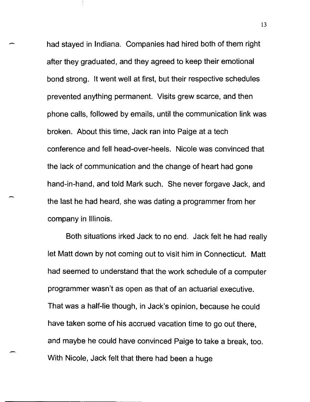had stayed in Indiana. Companies had hired both of them right after they graduated, and they agreed to keep their emotional bond strong. It went well at first, but their respective schedules prevented anything permanent. Visits grew scarce, and then phone calls, followed by emails, until the communication link was broken. About this time, Jack ran into Paige at a tech conference and fell head-over-heels. Nicole was convinced that the lack of communication and the change of heart had gone hand-in-hand, and told Mark such. She never forgave Jack, and the last he had heard, she was dating a programmer from her company in Illinois.

Both situations irked Jack to no end. Jack felt he had really let Matt down by not coming out to visit him in Connecticut. Matt had seemed to understand that the work schedule of a computer programmer wasn't as open as that of an actuarial executive. That was a half-lie though, in Jack's opinion, because he could have taken some of his accrued vacation time to go out there, and maybe he could have convinced Paige to take a break, too. With Nicole, Jack felt that there had been a huge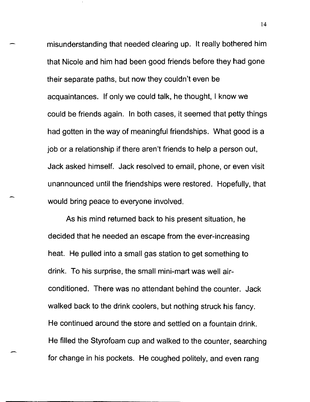misunderstanding that needed clearing up. It really bothered him that Nicole and him had been good friends before they had gone their separate paths, but now they couldn't even be acquaintances. If only we could talk, he thought, I know we could be friends again. In both cases, it seemed that petty things had gotten in the way of meaningful friendships. What good is a job or a relationship if there aren't friends to help a person out, Jack asked himself. Jack resolved to email, phone, or even visit unannounced until the friendships were restored. Hopefully, that would bring peace to everyone involved.

As his mind returned back to his present situation, he decided that he needed an escape from the ever-increasing heat. He pulled into a small gas station to get something to drink. To his surprise, the small mini-mart was well airconditioned. There was no attendant behind the counter. Jack walked back to the drink coolers, but nothing struck his fancy. He continued around the store and settled on a fountain drink. He filled the Styrofoam cup and walked to the counter, searching for change in his pockets. He coughed politely, and even rang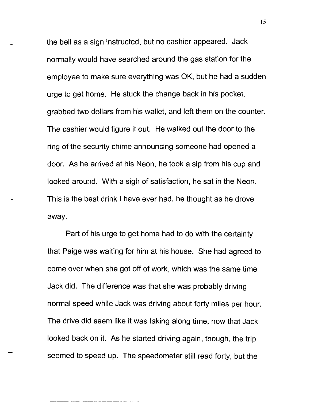the bell as a sign instructed, but no cashier appeared. Jack normally would have searched around the gas station for the employee to make sure everything was OK, but he had a sudden urge to get home. He stuck the change back in his pocket, grabbed two dollars from his wallet, and left them on the counter. The cashier would figure it out. He walked out the door to the ring of the security chime announcing someone had opened a door. As he arrived at his Neon, he took a sip from his cup and looked around. With a sigh of satisfaction, he sat in the Neon. This is the best drink I have ever had, he thought as he drove away.

Part of his urge to get home had to do with the certainty that Paige was waiting for him at his house. She had agreed to come over when she got off of work, which was the same time Jack did. The difference was that she was probably driving normal speed while Jack was driving about forty miles per hour. The drive did seem like it was taking along time, now that Jack looked back on it. As he started driving again, though, the trip seemed to speed up. The speedometer still read forty, but the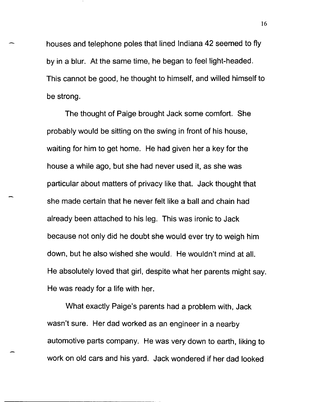houses and telephone poles that lined Indiana 42 seemed to fly by in a blur. At the same time, he began to feel light-headed. This cannot be good, he thought to himself, and willed himself to be strong.

The thought of Paige brought Jack some comfort. She probably would be sitting on the swing in front of his house, waiting for him to get home. He had given her a key for the house a while ago, but she had never used it, as she was particular about matters of privacy like that. Jack thought that she made certain that he never felt like a ball and chain had already been attached to his leg. This was ironic to Jack because not only did he doubt she would ever try to weigh him down, but he also wished she would. He wouldn't mind at all. He absolutely loved that girl, despite what her parents might say. He was ready for a life with her.

What exactly Paige's parents had a problem with, Jack wasn't sure. Her dad worked as an engineer in a nearby automotive parts company. He was very down to earth, liking to work on old cars and his yard. Jack wondered if her dad looked

-------------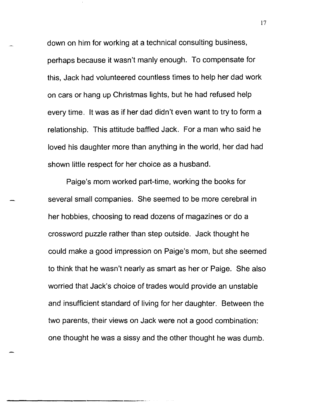down on him for working at a technical consulting business, perhaps because it wasn't manly enough. To compensate for this, Jack had volunteered countless times to help her dad work on cars or hang up Christmas lights, but he had refused help every time. It was as if her dad didn't even want to try to form a relationship. This attitude baffled Jack. For a man who said he loved his daughter more than anything in the world, her dad had shown little respect for her choice as a husband.

Paige's mom worked part-time, working the books for several small companies. She seemed to be more cerebral in her hobbies, choosing to read dozens of magazines or do a crossword puzzle rather than step outside. Jack thought he could make a good impression on Paige's mom, but she seemed to think that he wasn't nearly as smart as her or Paige. She also worried that Jack's choice of trades would provide an unstable and insufficient standard of living for her daughter. Between the two parents, their views on Jack were not a good combination: one thought he was a sissy and the other thought he was dumb.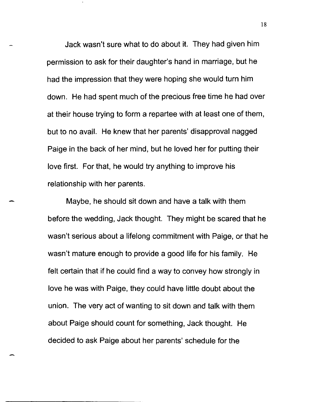Jack wasn't sure what to do about it. They had given him permission to ask for their daughter's hand in marriage, but he had the impression that they were hoping she would turn him down. He had spent much of the precious free time he had over at their house trying to form a repartee with at least one of them, but to no avail. He knew that her parents' disapproval nagged Paige in the back of her mind, but he loved her for putting their love first. For that, he would try anything to improve his relationship with her parents.

Maybe, he should sit down and have a talk with them before the wedding, Jack thought. They might be scared that he wasn't serious about a lifelong commitment with Paige, or that he wasn't mature enough to provide a good life for his family. He felt certain that if he could find a way to convey how strongly in love he was with Paige, they could have little doubt about the union. The very act of wanting to sit down and talk with them about Paige should count for something, Jack thought. He decided to ask Paige about her parents' schedule for the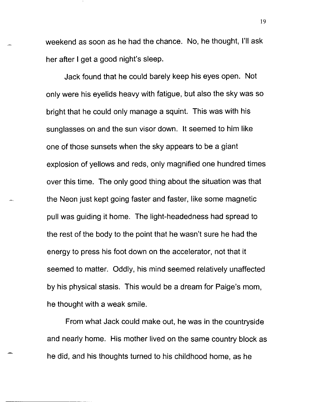weekend as soon as he had the chance. No, he thought, I'll ask her after I get a good night's sleep.

Jack found that he could barely keep his eyes open. Not only were his eyelids heavy with fatigue, but also the sky was so bright that he could only manage a squint. This was with his sunglasses on and the sun visor down. It seemed to him like one of those sunsets when the sky appears to be a giant explosion of yellows and reds, only magnified one hundred times over this time. The only good thing about the situation was that the Neon just kept going faster and faster, like some magnetic pull was guiding it home. The light-headedness had spread to the rest of the body to the point that he wasn't sure he had the energy to press his foot down on the accelerator, not that it seemed to matter. Oddly, his mind seemed relatively unaffected by his physical stasis. This would be a dream for Paige's mom, he thought with a weak smile.

From what Jack could make out, he was in the countryside and nearly home. His mother lived on the same country block as he did, and his thoughts turned to his childhood home, as he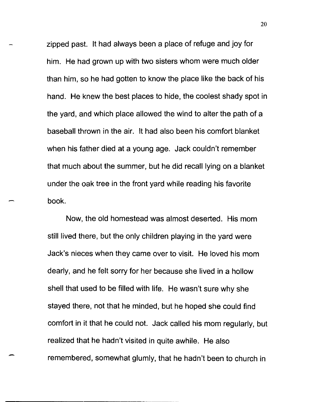zipped past. It had always been a place of refuge and joy for him. He had grown up with two sisters whom were much older than him, so he had gotten to know the place like the back of his hand. He knew the best places to hide, the coolest shady spot in the yard, and which place allowed the wind to alter the path of a baseball thrown in the air. It had also been his comfort blanket when his father died at a young age. Jack couldn't remember that much about the summer, but he did recall lying on a blanket under the oak tree in the front yard while reading his favorite book.

Now, the old homestead was almost deserted. His mom still lived there, but the only children playing in the yard were Jack's nieces when they came over to visit. He loved his mom dearly, and he felt sorry for her because she lived in a hollow shell that used to be filled with life. He wasn't sure why she stayed there, not that he minded, but he hoped she could find comfort in it that he could not. Jack called his mom regularly, but realized that he hadn't visited in quite awhile. He also remembered, somewhat glumly, that he hadn't been to church in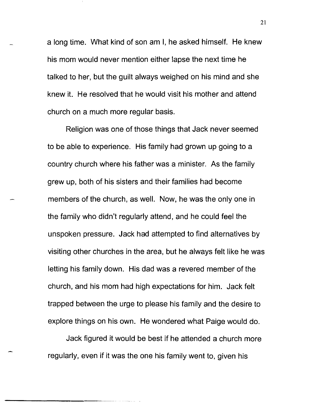a long time. What kind of son am I, he asked himself. He knew his mom would never mention either lapse the next time he talked to her, but the guilt always weighed on his mind and she knew it. He resolved that he would visit his mother and attend church on a much more regular basis.

Religion was one of those things that Jack never seemed to be able to experience. His family had grown up going to a country church where his father was a minister. As the family grew up, both of his sisters and their families had become members of the church, as well. Now, he was the only one in the family who didn't regularly attend, and he could feel the unspoken pressure. Jack had attempted to find alternatives by visiting other churches in the area, but he always felt like he was letting his family down. His dad was a revered member of the church, and his mom had high expectations for him. Jack felt trapped between the urge to please his family and the desire to explore things on his own. He wondered what Paige would do.

Jack figured it would be best if he attended a church more regularly, even if it was the one his family went to, given his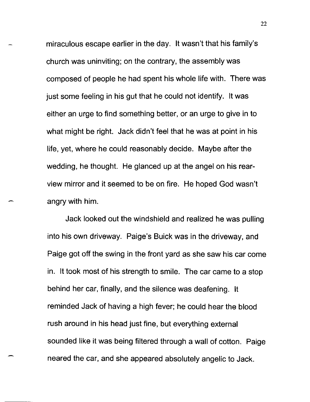miraculous escape earlier in the day. It wasn't that his family's church was uninviting; on the contrary, the assembly was composed of people he had spent his whole life with. There was just some feeling in his gut that he could not identify. It was either an urge to find something better, or an urge to give in to what might be right. Jack didn't feel that he was at point in his life, yet, where he could reasonably decide. Maybe after the wedding, he thought. He glanced up at the angel on his rearview mirror and it seemed to be on fire. He hoped God wasn't angry with him.

Jack looked out the windshield and realized he was pulling into his own driveway. Paige's Buick was in the driveway, and Paige got off the swing in the front yard as she saw his car come in. It took most of his strength to smile. The car came to a stop behind her car, finally, and the silence was deafening. It reminded Jack of having a high fever; he could hear the blood rush around in his head just fine, but everything external sounded like it was being filtered through a wall of cotton. Paige neared the car, and she appeared absolutely angelic to Jack.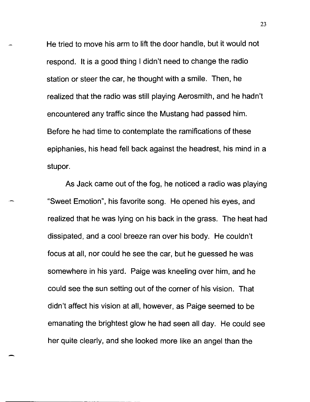He tried to move his arm to lift the door handle, but it would not respond. It is a good thing I didn't need to change the radio station or steer the car, he thought with a smile. Then, he realized that the radio was still playing Aerosmith, and he hadn't encountered any traffic since the Mustang had passed him. Before he had time to contemplate the ramifications of these epiphanies, his head fell back against the headrest, his mind in a stupor.

As Jack came out of the fog, he noticed a radio was playing "Sweet Emotion", his favorite song. He opened his eyes, and realized that he was lying on his back in the grass. The heat had dissipated, and a cool breeze ran over his body. He couldn't focus at all, nor could he see the car, but he guessed he was somewhere in his yard. Paige was kneeling over him, and he could see the sun setting out of the corner of his vision. That didn't affect his vision at all, however, as Paige seemed to be emanating the brightest glow he had seen all day. He could see her quite clearly, and she looked more like an angel than the

-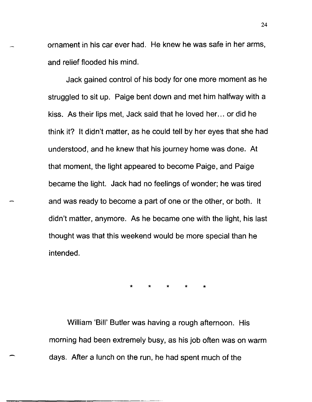ornament in his car ever had. He knew he was safe in her arms, and relief flooded his mind.

Jack gained control of his body for one more moment as he struggled to sit up. Paige bent down and met him halfway with a kiss. As their lips met, Jack said that he loved her... or did he think it? It didn't matter, as he could tell by her eyes that she had understood, and he knew that his journey home was done. At that moment, the light appeared to become Paige, and Paige became the light. Jack had no feelings of wonder; he was tired and was ready to become a part of one or the other, or both. It didn't matter, anymore. As he became one with the light, his last thought was that this weekend would be more special than he intended.

\* \* \* \* \*

William 'Bill' Butler was having a rough afternoon. His morning had been extremely busy, as his job often was on warm days. After a lunch on the run, he had spent much of the

-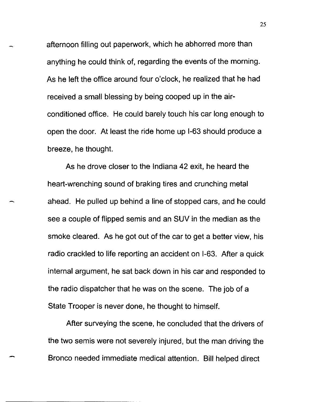afternoon filling out paperwork, which he abhorred more than anything he could think of, regarding the events of the morning. As he left the office around four o'clock, he realized that he had received a small blessing by being cooped up in the airconditioned office. He could barely touch his car long enough to open the door. At least the ride home up 1-63 should produce a breeze, he thought.

As he drove closer to the Indiana 42 exit, he heard the heart-wrenching sound of braking tires and crunching metal ahead. He pulled up behind a line of stopped cars, and he could see a couple of flipped semis and an SUV in the median as the smoke cleared. As he got out of the car to get a better view, his radio crackled to life reporting an accident on 1-63. After a quick internal argument, he sat back down in his car and responded to the radio dispatcher that he was on the scene. The job of a State Trooper is never done, he thought to himself.

After surveying the scene, he concluded that the drivers of the two semis were not severely injured, but the man driving the Bronco needed immediate medical attention. Bill helped direct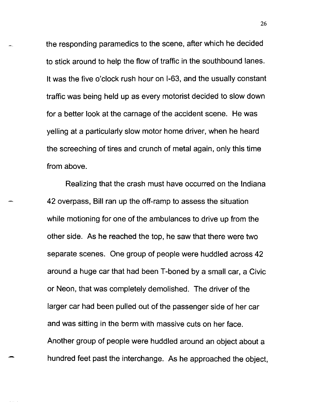the responding paramedics to the scene, after which he decided to stick around to help the flow of traffic in the southbound lanes. It was the five o'clock rush hour on 1-63, and the usually constant traffic was being held up as every motorist decided to slow down for a better look at the carnage of the accident scene. He was yelling at a particularly slow motor home driver, when he heard the screeching of tires and crunch of metal again, only this time from above.

Realizing that the crash must have occurred on the Indiana 42 overpass, Bill ran up the off-ramp to assess the situation while motioning for one of the ambulances to drive up from the other side. As he reached the top, he saw that there were two separate scenes. One group of people were huddled across 42 around a huge car that had been T -boned by a small car, a Civic or Neon, that was completely demolished. The driver of the larger car had been pulled out of the passenger side of her car and was sitting in the berm with massive cuts on her face. Another group of people were huddled around an object about a hundred feet past the interchange. As he approached the object,

-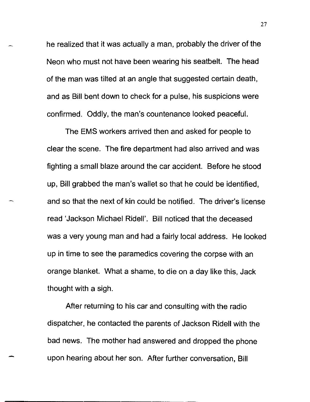he realized that it was actually a man, probably the driver of the Neon who must not have been wearing his seatbelt. The head of the man was tilted at an angle that suggested certain death, and as Bill bent down to check for a pulse, his suspicions were confirmed. Oddly, the man's countenance looked peaceful.

The EMS workers arrived then and asked for people to clear the scene. The fire department had also arrived and was fighting a small blaze around the car accident. Before he stood up, Bill grabbed the man's wallet so that he could be identified, and so that the next of kin could be notified. The driver's license read 'Jackson Michael Ridell'. Bill noticed that the deceased was a very young man and had a fairly local address. He looked up in time to see the paramedics covering the corpse with an orange blanket. What a shame, to die on a day like this, Jack thought with a sigh.

After returning to his car and consulting with the radio dispatcher, he contacted the parents of Jackson Ridell with the bad news. The mother had answered and dropped the phone upon hearing about her son. After further conversation, Bill

-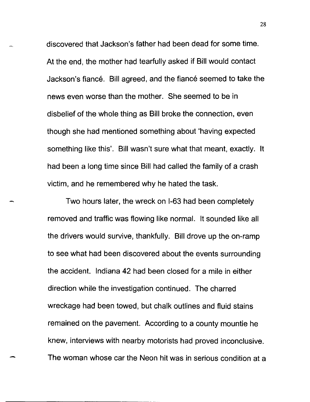discovered that Jackson's father had been dead for some time. At the end, the mother had tearfully asked if Bill would contact Jackson's fiance. Bill agreed, and the fiance seemed to take the news even worse than the mother. She seemed to be in disbelief of the whole thing as Bill broke the connection, even though she had mentioned something about 'having expected something like this'. Bill wasn't sure what that meant, exactly. It had been a long time since Bill had called the family of a crash victim, and he remembered why he hated the task.

Two hours later, the wreck on 1-63 had been completely removed and traffic was flowing like normal. It sounded like all the drivers would survive, thankfully. Bill drove up the on-ramp to see what had been discovered about the events surrounding the accident. Indiana 42 had been closed for a mile in either direction while the investigation continued. The charred wreckage had been towed, but chalk outlines and fluid stains remained on the pavement. According to a county mountie he knew, interviews with nearby motorists had proved inconclusive. The woman whose car the Neon hit was in serious condition at a

-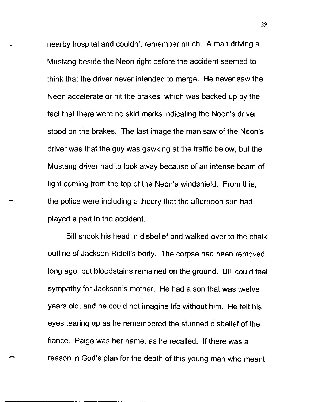nearby hospital and couldn't remember much. A man driving a Mustang beside the Neon right before the accident seemed to think that the driver never intended to merge. He never saw the Neon accelerate or hit the brakes, which was backed up by the fact that there were no skid marks indicating the Neon's driver stood on the brakes. The last image the man saw of the Neon's driver was that the guy was gawking at the traffic below, but the Mustang driver had to look away because of an intense beam of light coming from the top of the Neon's windshield. From this, the police were including a theory that the afternoon sun had played a part in the accident.

Bill shook his head in disbelief and walked over to the chalk outline of Jackson Ridell's body. The corpse had been removed long ago, but bloodstains remained on the ground. Bill could feel sympathy for Jackson's mother. He had a son that was twelve years old, and he could not imagine life without him. He felt his eyes tearing up as he remembered the stunned disbelief of the fiancé. Paige was her name, as he recalled. If there was a reason in God's plan for the death of this young man who meant

-